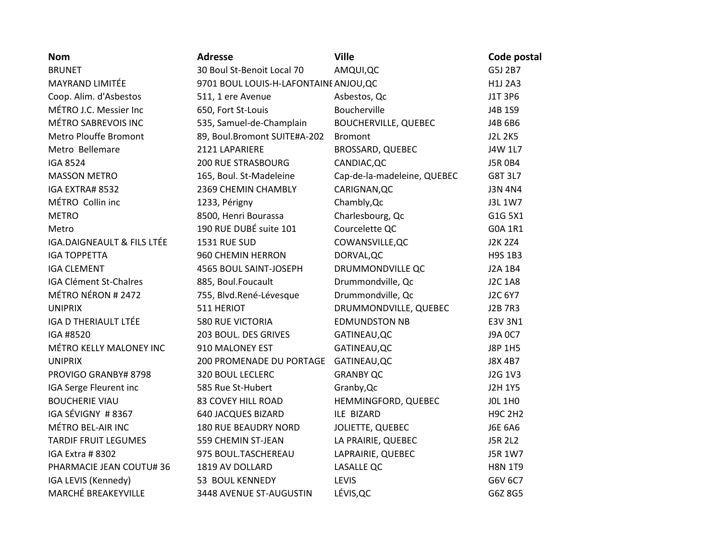| <b>Nom</b>                  | <b>Adresse</b>                         | <b>Ville</b>                | Code postal    |
|-----------------------------|----------------------------------------|-----------------------------|----------------|
| <b>BRUNET</b>               | 30 Boul St-Benoit Local 70             | AMQUI, QC                   | G5J 2B7        |
| MAYRAND LIMITÉE             | 9701 BOUL LOUIS-H-LAFONTAINE ANJOU, QC |                             | H1J 2A3        |
| Coop. Alim. d'Asbestos      | 511, 1 ere Avenue                      | Asbestos, Qc                | J1T 3P6        |
| MÉTRO J.C. Messier Inc      | 650, Fort St-Louis                     | Boucherville                | J4B 1S9        |
| MÉTRO SABREVOIS INC         | 535, Samuel-de-Champlain               | <b>BOUCHERVILLE, QUEBEC</b> | J4B 6B6        |
| Metro Plouffe Bromont       | 89, Boul.Bromont SUITE#A-202           | <b>Bromont</b>              | <b>J2L 2K5</b> |
| Metro Bellemare             | 2121 LAPARIERE                         | BROSSARD, QUEBEC            | J4W 1L7        |
| <b>IGA 8524</b>             | <b>200 RUE STRASBOURG</b>              | CANDIAC, QC                 | <b>J5R 0B4</b> |
| <b>MASSON METRO</b>         | 165, Boul. St-Madeleine                | Cap-de-la-madeleine, QUEBEC | G8T 3L7        |
| IGA EXTRA# 8532             | 2369 CHEMIN CHAMBLY                    | CARIGNAN, QC                | <b>J3N 4N4</b> |
| MÉTRO Collin inc            | 1233, Périgny                          | Chambly, Qc                 | J3L 1W7        |
| <b>METRO</b>                | 8500, Henri Bourassa                   | Charlesbourg, Qc            | G1G 5X1        |
| Metro                       | 190 RUE DUBÉ suite 101                 | Courcelette QC              | G0A 1R1        |
| IGA.DAIGNEAULT & FILS LTÉE  | <b>1531 RUE SUD</b>                    | COWANSVILLE, QC             | <b>J2K 2Z4</b> |
| <b>IGA TOPPETTA</b>         | 960 CHEMIN HERRON                      | DORVAL, QC                  | H9S 1B3        |
| <b>IGA CLEMENT</b>          | 4565 BOUL SAINT-JOSEPH                 | DRUMMONDVILLE QC            | J2A 1B4        |
| IGA Clément St-Chalres      | 885, Boul.Foucault                     | Drummondville, Qc           | <b>J2C 1A8</b> |
| MÉTRO NÉRON # 2472          | 755, Blvd.René-Lévesque                | Drummondville, Qc           | J2C 6Y7        |
| <b>UNIPRIX</b>              | 511 HERIOT                             | DRUMMONDVILLE, QUEBEC       | <b>J2B 7R3</b> |
| <b>IGA D THERIAULT LTÉE</b> | <b>580 RUE VICTORIA</b>                | <b>EDMUNDSTON NB</b>        | E3V 3N1        |
| IGA #8520                   | 203 BOUL. DES GRIVES                   | GATINEAU, QC                | J9A 0C7        |
| MÉTRO KELLY MALONEY INC     | 910 MALONEY EST                        | GATINEAU, QC                | J8P 1H5        |
| <b>UNIPRIX</b>              | 200 PROMENADE DU PORTAGE               | GATINEAU, QC                | J8X 4B7        |
| PROVIGO GRANBY# 8798        | <b>320 BOUL LECLERC</b>                | <b>GRANBY QC</b>            | J2G 1V3        |
| IGA Serge Fleurent inc      | 585 Rue St-Hubert                      | Granby, Qc                  | <b>J2H 1Y5</b> |
| <b>BOUCHERIE VIAU</b>       | <b>83 COVEY HILL ROAD</b>              | HEMMINGFORD, QUEBEC         | <b>JOL 1HO</b> |
| IGA SÉVIGNY #8367           | <b>640 JACQUES BIZARD</b>              | ILE BIZARD                  | <b>H9C 2H2</b> |
| MÉTRO BEL-AIR INC           | <b>180 RUE BEAUDRY NORD</b>            | JOLIETTE, QUEBEC            | <b>J6E 6A6</b> |
| <b>TARDIF FRUIT LEGUMES</b> | 559 CHEMIN ST-JEAN                     | LA PRAIRIE, QUEBEC          | <b>J5R 2L2</b> |
| IGA Extra #8302             | 975 BOUL.TASCHEREAU                    | LAPRAIRIE, QUEBEC           | J5R 1W7        |
| PHARMACIE JEAN COUTU# 36    | 1819 AV DOLLARD                        | <b>LASALLE QC</b>           | <b>H8N 1T9</b> |
| IGA LEVIS (Kennedy)         | 53 BOUL KENNEDY                        | LEVIS                       | G6V 6C7        |
| <b>MARCHÉ BREAKEYVILLE</b>  | 3448 AVENUE ST-AUGUSTIN                | LÉVIS, QC                   | G6Z 8G5        |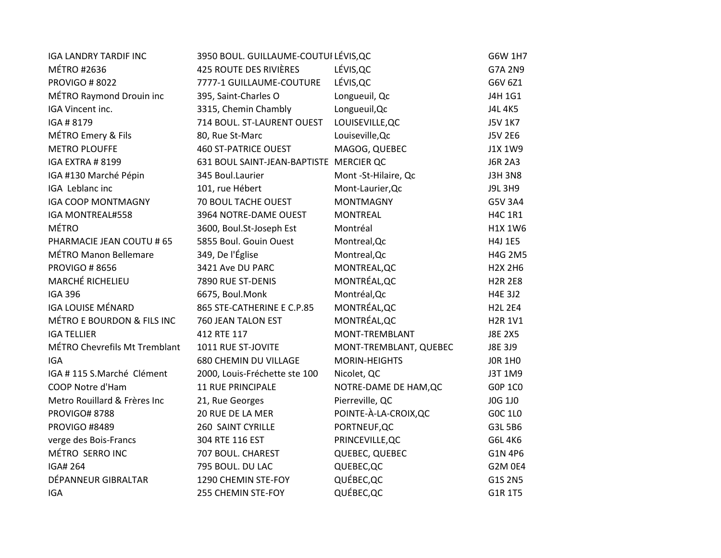| <b>IGA LANDRY TARDIF INC</b>  | 3950 BOUL. GUILLAUME-COUTUI LÉVIS, QC   |                        | G6W 1H7        |
|-------------------------------|-----------------------------------------|------------------------|----------------|
| <b>MÉTRO #2636</b>            | <b>425 ROUTE DES RIVIÈRES</b>           | LÉVIS, QC              | G7A 2N9        |
| <b>PROVIGO # 8022</b>         | 7777-1 GUILLAUME-COUTURE                | LÉVIS, QC              | G6V 6Z1        |
| MÉTRO Raymond Drouin inc      | 395, Saint-Charles O                    | Longueuil, Qc          | J4H 1G1        |
| IGA Vincent inc.              | 3315, Chemin Chambly                    | Longueuil, Qc          | J4L 4K5        |
| IGA #8179                     | 714 BOUL. ST-LAURENT OUEST              | LOUISEVILLE, QC        | <b>J5V 1K7</b> |
| MÉTRO Emery & Fils            | 80, Rue St-Marc                         | Louiseville, Qc        | J5V 2E6        |
| <b>METRO PLOUFFE</b>          | <b>460 ST-PATRICE OUEST</b>             | MAGOG, QUEBEC          | J1X 1W9        |
| IGA EXTRA # 8199              | 631 BOUL SAINT-JEAN-BAPTISTE MERCIER QC |                        | <b>J6R 2A3</b> |
| IGA #130 Marché Pépin         | 345 Boul.Laurier                        | Mont -St-Hilaire, Qc   | <b>J3H 3N8</b> |
| IGA Leblanc inc               | 101, rue Hébert                         | Mont-Laurier, Qc       | J9L 3H9        |
| <b>IGA COOP MONTMAGNY</b>     | 70 BOUL TACHE OUEST                     | <b>MONTMAGNY</b>       | G5V 3A4        |
| IGA MONTREAL#558              | 3964 NOTRE-DAME OUEST                   | <b>MONTREAL</b>        | <b>H4C 1R1</b> |
| <b>MÉTRO</b>                  | 3600, Boul.St-Joseph Est                | Montréal               | H1X 1W6        |
| PHARMACIE JEAN COUTU # 65     | 5855 Boul. Gouin Ouest                  | Montreal, Qc           | H4J 1E5        |
| <b>MÉTRO Manon Bellemare</b>  | 349, De l'Église                        | Montreal, Qc           | H4G 2M5        |
| <b>PROVIGO #8656</b>          | 3421 Ave DU PARC                        | MONTREAL, QC           | <b>H2X 2H6</b> |
| MARCHÉ RICHELIEU              | 7890 RUE ST-DENIS                       | MONTRÉAL, QC           | <b>H2R 2E8</b> |
| <b>IGA 396</b>                | 6675, Boul.Monk                         | Montréal, Qc           | H4E 3J2        |
| <b>IGA LOUISE MÉNARD</b>      | 865 STE-CATHERINE E C.P.85              | MONTRÉAL, QC           | <b>H2L 2E4</b> |
| MÉTRO E BOURDON & FILS INC    | 760 JEAN TALON EST                      | MONTRÉAL, QC           | <b>H2R 1V1</b> |
| <b>IGA TELLIER</b>            | 412 RTE 117                             | MONT-TREMBLANT         | <b>J8E 2X5</b> |
| MÉTRO Chevrefils Mt Tremblant | 1011 RUE ST-JOVITE                      | MONT-TREMBLANT, QUEBEC | J8E 3J9        |
| <b>IGA</b>                    | 680 CHEMIN DU VILLAGE                   | <b>MORIN-HEIGHTS</b>   | <b>JOR 1H0</b> |
| IGA #115 S.Marché Clément     | 2000, Louis-Fréchette ste 100           | Nicolet, QC            | J3T 1M9        |
| COOP Notre d'Ham              | <b>11 RUE PRINCIPALE</b>                | NOTRE-DAME DE HAM, QC  | G0P 1C0        |
| Metro Rouillard & Frères Inc  | 21, Rue Georges                         | Pierreville, QC        | J0G 1J0        |
| <b>PROVIGO# 8788</b>          | 20 RUE DE LA MER                        | POINTE-À-LA-CROIX, QC  | G0C 1L0        |
| <b>PROVIGO #8489</b>          | 260 SAINT CYRILLE                       | PORTNEUF, QC           | G3L 5B6        |
| verge des Bois-Francs         | 304 RTE 116 EST                         | PRINCEVILLE, QC        | G6L 4K6        |
| MÉTRO SERRO INC               | 707 BOUL. CHAREST                       | QUEBEC, QUEBEC         | G1N 4P6        |
| <b>IGA# 264</b>               | 795 BOUL. DU LAC                        | QUEBEC, QC             | G2M 0E4        |
| DÉPANNEUR GIBRALTAR           | 1290 CHEMIN STE-FOY                     | QUÉBEC, QC             | G1S 2N5        |
| <b>IGA</b>                    | 255 CHEMIN STE-FOY                      | QUÉBEC, QC             | G1R 1T5        |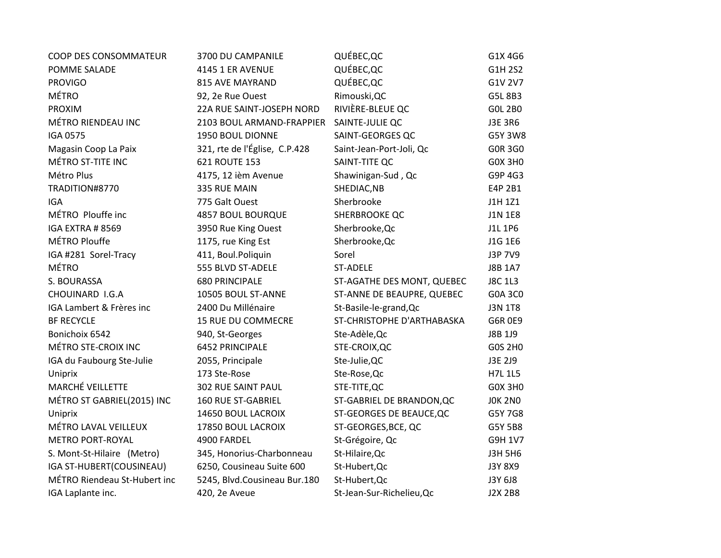| COOP DES CONSOMMATEUR        | 3700 DU CAMPANILE             | QUÉBEC, QC                 | G1X 4G6        |
|------------------------------|-------------------------------|----------------------------|----------------|
| POMME SALADE                 | 4145 1 ER AVENUE              | QUÉBEC, QC                 | G1H 2S2        |
| <b>PROVIGO</b>               | <b>815 AVE MAYRAND</b>        | QUÉBEC, QC                 | G1V 2V7        |
| <b>MÉTRO</b>                 | 92, 2e Rue Ouest              | Rimouski, QC               | G5L 8B3        |
| <b>PROXIM</b>                | 22A RUE SAINT-JOSEPH NORD     | RIVIÈRE-BLEUE QC           | <b>GOL 2BO</b> |
| MÉTRO RIENDEAU INC           | 2103 BOUL ARMAND-FRAPPIER     | SAINTE-JULIE QC            | J3E 3R6        |
| <b>IGA 0575</b>              | 1950 BOUL DIONNE              | SAINT-GEORGES QC           | G5Y 3W8        |
| Magasin Coop La Paix         | 321, rte de l'Église, C.P.428 | Saint-Jean-Port-Joli, Qc   | <b>GOR 3GO</b> |
| MÉTRO ST-TITE INC            | 621 ROUTE 153                 | SAINT-TITE QC              | <b>GOX 3HO</b> |
| Métro Plus                   | 4175, 12 ièm Avenue           | Shawinigan-Sud, Qc         | G9P 4G3        |
| TRADITION#8770               | 335 RUE MAIN                  | SHEDIAC, NB                | E4P 2B1        |
| <b>IGA</b>                   | 775 Galt Ouest                | Sherbrooke                 | J1H 1Z1        |
| MÉTRO Plouffe inc            | <b>4857 BOUL BOURQUE</b>      | <b>SHERBROOKE QC</b>       | <b>J1N 1E8</b> |
| IGA EXTRA #8569              | 3950 Rue King Ouest           | Sherbrooke, Qc             | J1L 1P6        |
| MÉTRO Plouffe                | 1175, rue King Est            | Sherbrooke, Qc             | J1G 1E6        |
| IGA #281 Sorel-Tracy         | 411, Boul.Poliquin            | Sorel                      | J3P 7V9        |
| <b>MÉTRO</b>                 | 555 BLVD ST-ADELE             | ST-ADELE                   | <b>J8B 1A7</b> |
| S. BOURASSA                  | <b>680 PRINCIPALE</b>         | ST-AGATHE DES MONT, QUEBEC | <b>J8C 1L3</b> |
| CHOUINARD I.G.A              | 10505 BOUL ST-ANNE            | ST-ANNE DE BEAUPRE, QUEBEC | G0A 3C0        |
| IGA Lambert & Frères inc     | 2400 Du Millénaire            | St-Basile-le-grand, Qc     | <b>J3N 1T8</b> |
| <b>BF RECYCLE</b>            | 15 RUE DU COMMECRE            | ST-CHRISTOPHE D'ARTHABASKA | <b>G6R 0E9</b> |
| Bonichoix 6542               | 940, St-Georges               | Ste-Adèle, Qc              | J8B 1J9        |
| MÉTRO STE-CROIX INC          | 6452 PRINCIPALE               | STE-CROIX, QC              | G0S 2H0        |
| IGA du Faubourg Ste-Julie    | 2055, Principale              | Ste-Julie, QC              | J3E 2J9        |
| Uniprix                      | 173 Ste-Rose                  | Ste-Rose, Qc               | H7L 1L5        |
| MARCHÉ VEILLETTE             | 302 RUE SAINT PAUL            | STE-TITE, QC               | <b>GOX 3HO</b> |
| MÉTRO ST GABRIEL(2015) INC   | <b>160 RUE ST-GABRIEL</b>     | ST-GABRIEL DE BRANDON, QC  | <b>JOK 2NO</b> |
| Uniprix                      | 14650 BOUL LACROIX            | ST-GEORGES DE BEAUCE, QC   | G5Y 7G8        |
| MÉTRO LAVAL VEILLEUX         | 17850 BOUL LACROIX            | ST-GEORGES, BCE, QC        | G5Y 5B8        |
| <b>METRO PORT-ROYAL</b>      | 4900 FARDEL                   | St-Grégoire, Qc            | G9H 1V7        |
| S. Mont-St-Hilaire (Metro)   | 345, Honorius-Charbonneau     | St-Hilaire, Qc             | <b>J3H 5H6</b> |
| IGA ST-HUBERT(COUSINEAU)     | 6250, Cousineau Suite 600     | St-Hubert, Qc              | J3Y 8X9        |
| MÉTRO Riendeau St-Hubert inc | 5245, Blvd.Cousineau Bur.180  | St-Hubert, Qc              | J3Y 6J8        |
| IGA Laplante inc.            | 420, 2e Aveue                 | St-Jean-Sur-Richelieu, Qc  | <b>J2X 2B8</b> |
|                              |                               |                            |                |